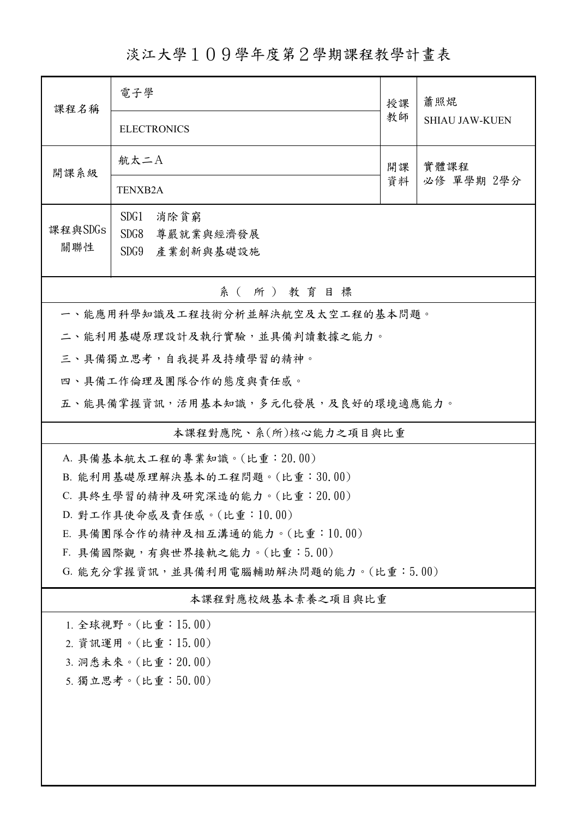淡江大學109學年度第2學期課程教學計畫表

| 課程名稱                                  | 電子學                                                          | 授課       | 蕭照焜<br><b>SHIAU JAW-KUEN</b> |  |  |  |
|---------------------------------------|--------------------------------------------------------------|----------|------------------------------|--|--|--|
|                                       | <b>ELECTRONICS</b>                                           | 教師       |                              |  |  |  |
| 開課系級                                  | 航太二A                                                         | 開課<br>資料 | 實體課程<br>必修 單學期 2學分           |  |  |  |
|                                       | <b>TENXB2A</b>                                               |          |                              |  |  |  |
| 課程與SDGs                               | SDG1<br>消除貧窮                                                 |          |                              |  |  |  |
| 關聯性                                   | SDG8<br>尊嚴就業與經濟發展<br>SDG9<br>產業創新與基礎設施                       |          |                              |  |  |  |
| 系(所)教育目標                              |                                                              |          |                              |  |  |  |
| 一、能應用科學知識及工程技術分析並解決航空及太空工程的基本問題。      |                                                              |          |                              |  |  |  |
| 二、能利用基礎原理設計及執行實驗,並具備判讀數據之能力。          |                                                              |          |                              |  |  |  |
|                                       | 三、具備獨立思考,自我提昇及持續學習的精神。                                       |          |                              |  |  |  |
|                                       | 四、具備工作倫理及團隊合作的態度與責任感。                                        |          |                              |  |  |  |
|                                       | 五、能具備掌握資訊,活用基本知識,多元化發展,及良好的環境適應能力。                           |          |                              |  |  |  |
| 本課程對應院、系(所)核心能力之項目與比重                 |                                                              |          |                              |  |  |  |
| A. 具備基本航太工程的專業知識。(比重: 20.00)          |                                                              |          |                              |  |  |  |
|                                       | B. 能利用基礎原理解決基本的工程問題。(比重:30.00)                               |          |                              |  |  |  |
|                                       | C. 具終生學習的精神及研究深造的能力。(比重: 20.00)<br>D. 對工作具使命感及責任感。(比重:10.00) |          |                              |  |  |  |
| E. 具備團隊合作的精神及相互溝通的能力。(比重:10.00)       |                                                              |          |                              |  |  |  |
| F. 具備國際觀,有與世界接軌之能力。(比重:5.00)          |                                                              |          |                              |  |  |  |
| G. 能充分掌握資訊,並具備利用電腦輔助解決問題的能力。(比重:5.00) |                                                              |          |                              |  |  |  |
| 本課程對應校級基本素養之項目與比重                     |                                                              |          |                              |  |  |  |
| 1. 全球視野。(比重: 15.00)                   |                                                              |          |                              |  |  |  |
| 2. 資訊運用。(比重:15.00)                    |                                                              |          |                              |  |  |  |
| 3. 洞悉未來。(比重: 20.00)                   |                                                              |          |                              |  |  |  |
| 5. 獨立思考。(比重:50.00)                    |                                                              |          |                              |  |  |  |
|                                       |                                                              |          |                              |  |  |  |
|                                       |                                                              |          |                              |  |  |  |
|                                       |                                                              |          |                              |  |  |  |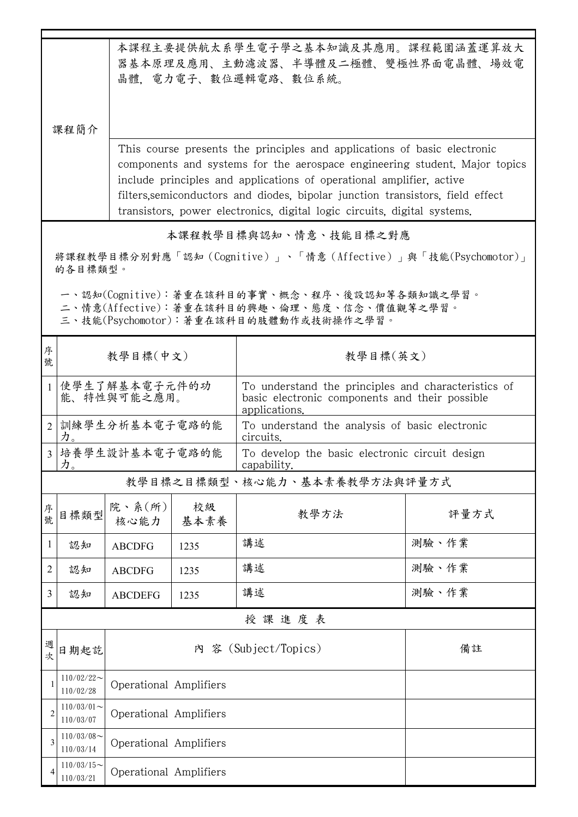| 本課程主要提供航太系學生電子學之基本知識及其應用。課程範圍涵蓋運算放大<br>器基本原理及應用、主動濾波器、半導體及二極體、雙極性界面電晶體、場效電<br>晶體. 電力電子、數位邏輯電路、數位系統。<br>課程簡介                            |                              |                                                                                                                                                                                                                                                                                                                                                                                              |            |                                                                                                                        |       |  |  |
|----------------------------------------------------------------------------------------------------------------------------------------|------------------------------|----------------------------------------------------------------------------------------------------------------------------------------------------------------------------------------------------------------------------------------------------------------------------------------------------------------------------------------------------------------------------------------------|------------|------------------------------------------------------------------------------------------------------------------------|-------|--|--|
|                                                                                                                                        |                              | This course presents the principles and applications of basic electronic<br>components and systems for the aerospace engineering student. Major topics<br>include principles and applications of operational amplifier, active<br>filters, semiconductors and diodes, bipolar junction transistors, field effect<br>transistors, power electronics, digital logic circuits, digital systems. |            |                                                                                                                        |       |  |  |
| 本課程教學目標與認知、情意、技能目標之對應                                                                                                                  |                              |                                                                                                                                                                                                                                                                                                                                                                                              |            |                                                                                                                        |       |  |  |
| 將課程教學目標分別對應「認知(Cognitive)」、「情意(Affective)」與「技能(Psychomotor)」<br>的各目標類型。                                                                |                              |                                                                                                                                                                                                                                                                                                                                                                                              |            |                                                                                                                        |       |  |  |
| 一、認知(Cognitive):著重在該科目的事實、概念、程序、後設認知等各類知識之學習。<br>二、情意(Affective):著重在該科目的興趣、倫理、態度、信念、價值觀等之學習。<br>三、技能(Psychomotor):著重在該科目的肢體動作或技術操作之學習。 |                              |                                                                                                                                                                                                                                                                                                                                                                                              |            |                                                                                                                        |       |  |  |
| 序<br>號                                                                                                                                 | 教學目標(中文)                     |                                                                                                                                                                                                                                                                                                                                                                                              |            | 教學目標(英文)                                                                                                               |       |  |  |
| $\mathbf{1}$                                                                                                                           | 使學生了解基本電子元件的功<br>能、特性與可能之應用。 |                                                                                                                                                                                                                                                                                                                                                                                              |            | To understand the principles and characteristics of<br>basic electronic components and their possible<br>applications. |       |  |  |
| $\overline{2}$                                                                                                                         | 訓練學生分析基本電子電路的能<br>力。         |                                                                                                                                                                                                                                                                                                                                                                                              |            | To understand the analysis of basic electronic<br>circuits.                                                            |       |  |  |
| $\overline{3}$                                                                                                                         | 培養學生設計基本電子電路的能<br>力。         |                                                                                                                                                                                                                                                                                                                                                                                              |            | To develop the basic electronic circuit design<br>capability.                                                          |       |  |  |
|                                                                                                                                        | 教學目標之目標類型、核心能力、基本素養教學方法與評量方式 |                                                                                                                                                                                                                                                                                                                                                                                              |            |                                                                                                                        |       |  |  |
| 序號                                                                                                                                     | 目標類型                         | 院、系(所)<br>核心能力                                                                                                                                                                                                                                                                                                                                                                               | 校級<br>基本素養 | 教學方法                                                                                                                   | 評量方式  |  |  |
| 1                                                                                                                                      | 認知                           | <b>ABCDFG</b>                                                                                                                                                                                                                                                                                                                                                                                | 1235       | 講述                                                                                                                     | 測驗、作業 |  |  |
| 2                                                                                                                                      | 認知                           | <b>ABCDFG</b>                                                                                                                                                                                                                                                                                                                                                                                | 1235       | 講述                                                                                                                     | 測驗、作業 |  |  |
| 3                                                                                                                                      | 認知                           | <b>ABCDEFG</b>                                                                                                                                                                                                                                                                                                                                                                               | 1235       | 講述                                                                                                                     | 測驗、作業 |  |  |
|                                                                                                                                        |                              |                                                                                                                                                                                                                                                                                                                                                                                              |            | 授課進度表                                                                                                                  |       |  |  |
| 週次                                                                                                                                     | 日期起訖                         |                                                                                                                                                                                                                                                                                                                                                                                              | 内          | 客 (Subject/Topics)                                                                                                     | 備註    |  |  |
| 1                                                                                                                                      | $110/02/22$ ~<br>110/02/28   | Operational Amplifiers                                                                                                                                                                                                                                                                                                                                                                       |            |                                                                                                                        |       |  |  |
| 2                                                                                                                                      | $110/03/01$ ~<br>110/03/07   | Operational Amplifiers                                                                                                                                                                                                                                                                                                                                                                       |            |                                                                                                                        |       |  |  |
| 3                                                                                                                                      | $110/03/08$ ~<br>110/03/14   | Operational Amplifiers                                                                                                                                                                                                                                                                                                                                                                       |            |                                                                                                                        |       |  |  |
| 4                                                                                                                                      | $110/03/15$ ~<br>110/03/21   | Operational Amplifiers                                                                                                                                                                                                                                                                                                                                                                       |            |                                                                                                                        |       |  |  |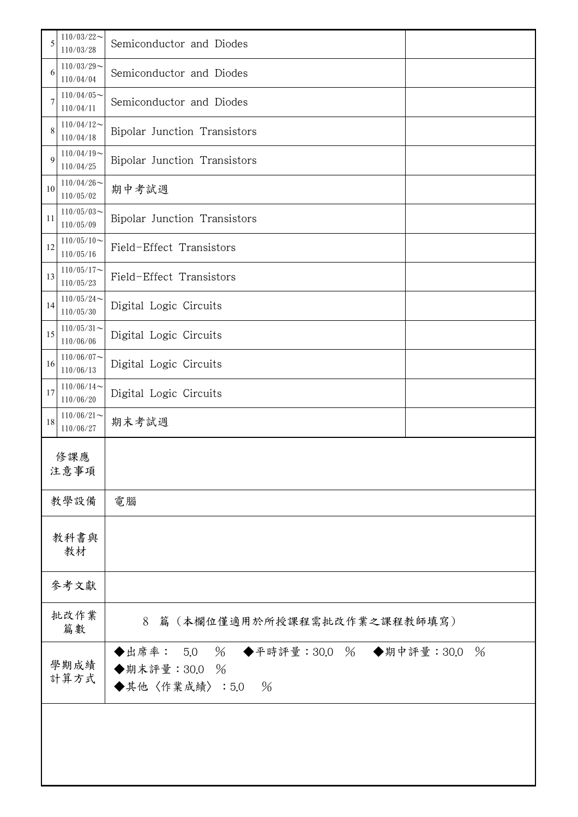| 5                                                          | $110/03/22$ ~<br>110/03/28                                 | Semiconductor and Diodes                                                              |  |  |
|------------------------------------------------------------|------------------------------------------------------------|---------------------------------------------------------------------------------------|--|--|
| 6                                                          | $110/03/29$ ~<br>110/04/04                                 | Semiconductor and Diodes                                                              |  |  |
| 7                                                          | $110/04/05$ ~<br>110/04/11                                 | Semiconductor and Diodes                                                              |  |  |
| 8                                                          | $110/04/12$ ~<br>110/04/18                                 | Bipolar Junction Transistors                                                          |  |  |
| 9                                                          | $110/04/19$ ~<br>110/04/25                                 | Bipolar Junction Transistors                                                          |  |  |
| 10                                                         | $110/04/26$ ~<br>期中考試週<br>110/05/02                        |                                                                                       |  |  |
| 11                                                         | $110/05/03$ ~<br>Bipolar Junction Transistors<br>110/05/09 |                                                                                       |  |  |
| 12                                                         | $110/05/10$ ~<br>Field-Effect Transistors<br>110/05/16     |                                                                                       |  |  |
| 13                                                         | $110/05/17$ ~<br>Field-Effect Transistors<br>110/05/23     |                                                                                       |  |  |
| 14                                                         | $110/05/24$ ~<br>Digital Logic Circuits<br>110/05/30       |                                                                                       |  |  |
| $110/05/31$ ~<br>15<br>Digital Logic Circuits<br>110/06/06 |                                                            |                                                                                       |  |  |
| 16                                                         | $110/06/07$ ~<br>Digital Logic Circuits<br>110/06/13       |                                                                                       |  |  |
| 17                                                         | $110/06/14$ ~<br>110/06/20                                 | Digital Logic Circuits                                                                |  |  |
| 18                                                         | $110/06/21$ ~<br>110/06/27                                 | 期末考試週                                                                                 |  |  |
|                                                            | 修課應                                                        |                                                                                       |  |  |
|                                                            | 注意事項                                                       |                                                                                       |  |  |
|                                                            | 教學設備                                                       | 電腦                                                                                    |  |  |
|                                                            | 教科書與<br>教材                                                 |                                                                                       |  |  |
|                                                            | 參考文獻                                                       |                                                                                       |  |  |
|                                                            | 批改作業<br>8<br>篇(本欄位僅適用於所授課程需批改作業之課程教師填寫)<br>篇數              |                                                                                       |  |  |
| 學期成績<br>計算方式                                               |                                                            | ◆出席率: 5.0 % ◆平時評量:30.0 % ◆期中評量:30.0<br>$\%$<br>◆期末評量: 30.0 %<br>◆其他〈作業成績〉:5.0<br>$\%$ |  |  |
|                                                            |                                                            |                                                                                       |  |  |